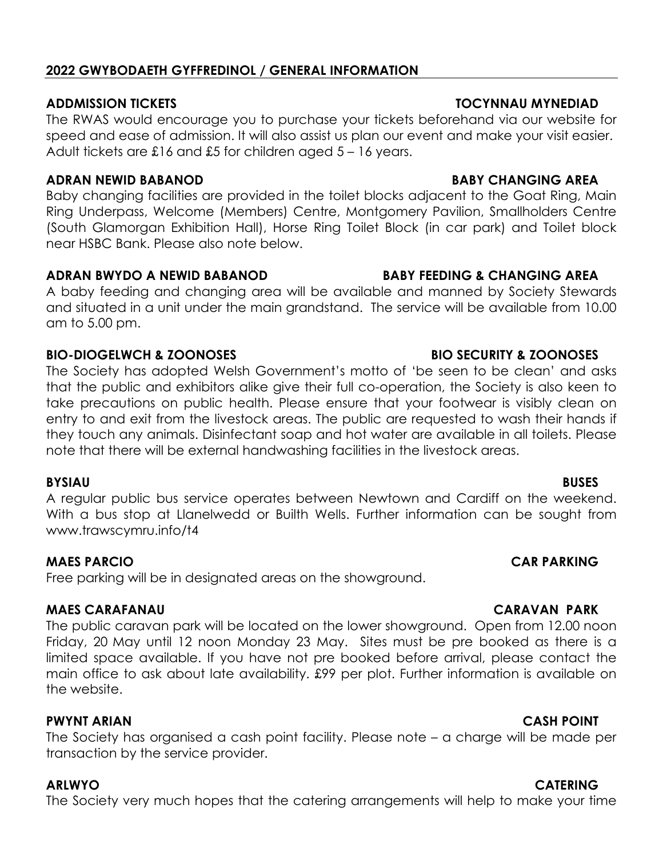### **2022 GWYBODAETH GYFFREDINOL / GENERAL INFORMATION**

The RWAS would encourage you to purchase your tickets beforehand via our website for speed and ease of admission. It will also assist us plan our event and make your visit easier. Adult tickets are £16 and £5 for children aged 5 – 16 years.

### **ADRAN NEWID BABANOD BABY CHANGING AREA**

Baby changing facilities are provided in the toilet blocks adjacent to the Goat Ring, Main Ring Underpass, Welcome (Members) Centre, Montgomery Pavilion, Smallholders Centre (South Glamorgan Exhibition Hall), Horse Ring Toilet Block (in car park) and Toilet block near HSBC Bank. Please also note below.

### **ADRAN BWYDO A NEWID BABANOD BABY FEEDING & CHANGING AREA**

A baby feeding and changing area will be available and manned by Society Stewards and situated in a unit under the main grandstand. The service will be available from 10.00 am to 5.00 pm.

## **BIO-DIOGELWCH & ZOONOSES BIO SECURITY & ZOONOSES**

The Society has adopted Welsh Government's motto of 'be seen to be clean' and asks that the public and exhibitors alike give their full co-operation, the Society is also keen to take precautions on public health. Please ensure that your footwear is visibly clean on entry to and exit from the livestock areas. The public are requested to wash their hands if they touch any animals. Disinfectant soap and hot water are available in all toilets. Please note that there will be external handwashing facilities in the livestock areas.

### **BYSIAU BUSES**

A regular public bus service operates between Newtown and Cardiff on the weekend. With a bus stop at Llanelwedd or Builth Wells. Further information can be sought from www.trawscymru.info/t4

## **MAES PARCIO CAR PARKING**

Free parking will be in designated areas on the showground.

## **MAES CARAFANAU CARAVAN PARK**

The public caravan park will be located on the lower showground. Open from 12.00 noon Friday, 20 May until 12 noon Monday 23 May. Sites must be pre booked as there is a limited space available. If you have not pre booked before arrival, please contact the main office to ask about late availability. £99 per plot. Further information is available on the website.

## **PWYNT ARIAN CASH POINT**

The Society has organised a cash point facility. Please note – a charge will be made per transaction by the service provider.

The Society very much hopes that the catering arrangements will help to make your time

## **ADDMISSION TICKETS TOCYNNAU MYNEDIAD**

# **ARLWYO CATERING**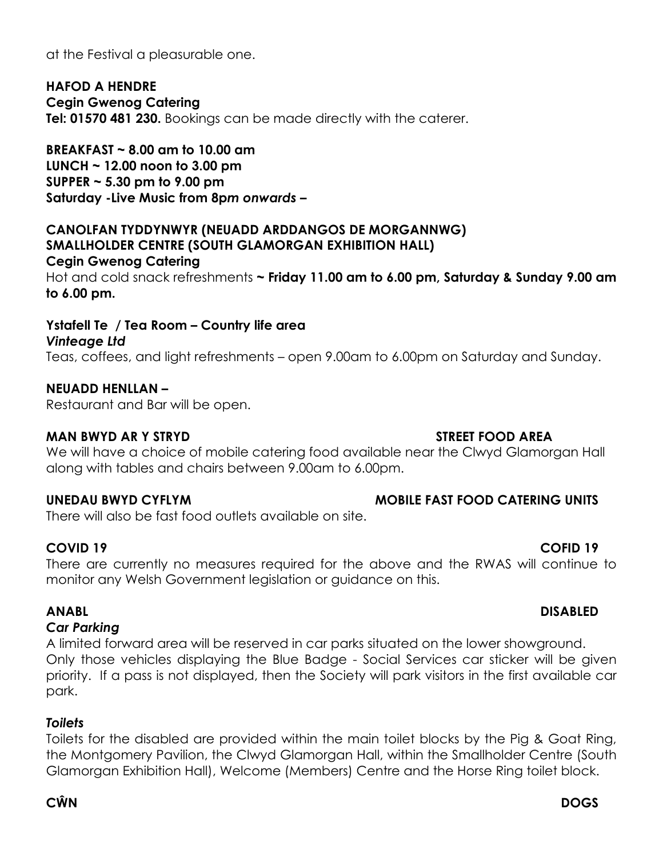at the Festival a pleasurable one.

**HAFOD A HENDRE Cegin Gwenog Catering Tel: 01570 481 230.** Bookings can be made directly with the caterer.

**BREAKFAST ~ 8.00 am to 10.00 am LUNCH ~ 12.00 noon to 3.00 pm SUPPER ~ 5.30 pm to 9.00 pm Saturday -Live Music from 8p***m onwards –*

### **CANOLFAN TYDDYNWYR (NEUADD ARDDANGOS DE MORGANNWG) SMALLHOLDER CENTRE (SOUTH GLAMORGAN EXHIBITION HALL) Cegin Gwenog Catering**

Hot and cold snack refreshments **~ Friday 11.00 am to 6.00 pm, Saturday & Sunday 9.00 am to 6.00 pm.** 

# **Ystafell Te / Tea Room – Country life area** *Vinteage Ltd*

Teas, coffees, and light refreshments – open 9.00am to 6.00pm on Saturday and Sunday.

## **NEUADD HENLLAN –**

Restaurant and Bar will be open.

## **MAN BWYD AR Y STRYD STREET FOOD AREA**

We will have a choice of mobile catering food available near the Clwyd Glamorgan Hall along with tables and chairs between 9.00am to 6.00pm.

## **UNEDAU BWYD CYFLYM MOBILE FAST FOOD CATERING UNITS**

There will also be fast food outlets available on site.

### **COVID 19 COFID 19**

There are currently no measures required for the above and the RWAS will continue to monitor any Welsh Government legislation or guidance on this.

## **ANABL DISABLED**

### *Car Parking*

A limited forward area will be reserved in car parks situated on the lower showground. Only those vehicles displaying the Blue Badge - Social Services car sticker will be given priority. If a pass is not displayed, then the Society will park visitors in the first available car park.

## *Toilets*

Toilets for the disabled are provided within the main toilet blocks by the Pig & Goat Ring, the Montgomery Pavilion, the Clwyd Glamorgan Hall, within the Smallholder Centre (South Glamorgan Exhibition Hall), Welcome (Members) Centre and the Horse Ring toilet block.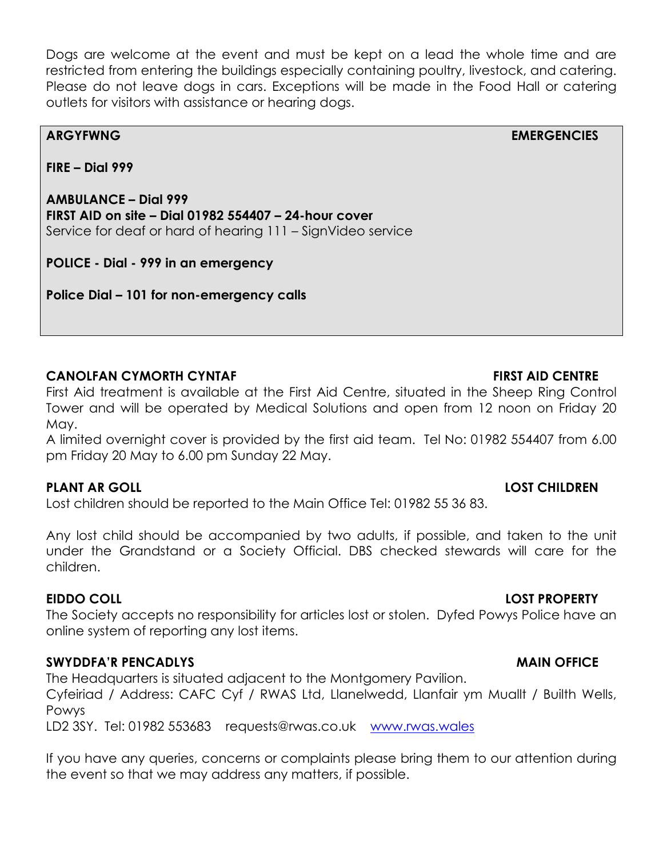Dogs are welcome at the event and must be kept on a lead the whole time and are restricted from entering the buildings especially containing poultry, livestock, and catering. Please do not leave dogs in cars. Exceptions will be made in the Food Hall or catering outlets for visitors with assistance or hearing dogs.

**ARGYFWNG EMERGENCIES** 

**FIRE – Dial 999** 

**AMBULANCE – Dial 999 FIRST AID on site – Dial 01982 554407 – 24-hour cover**  Service for deaf or hard of hearing 111 – SignVideo service

**POLICE - Dial - 999 in an emergency** 

**Police Dial – 101 for non-emergency calls** 

## **CANOLFAN CYMORTH CYNTAF FIRST AID CENTRE**

First Aid treatment is available at the First Aid Centre, situated in the Sheep Ring Control Tower and will be operated by Medical Solutions and open from 12 noon on Friday 20 May.

A limited overnight cover is provided by the first aid team. Tel No: 01982 554407 from 6.00 pm Friday 20 May to 6.00 pm Sunday 22 May.

## **PLANT AR GOLL LOST CHILDREN**

Lost children should be reported to the Main Office Tel: 01982 55 36 83.

Any lost child should be accompanied by two adults, if possible, and taken to the unit under the Grandstand or a Society Official. DBS checked stewards will care for the children.

The Society accepts no responsibility for articles lost or stolen. Dyfed Powys Police have an online system of reporting any lost items.

# **SWYDDFA'R PENCADLYS** And the state of the state of the state of the state of the state of the state of the state of the state of the state of the state of the state of the state of the state of the state of the state of t

The Headquarters is situated adjacent to the Montgomery Pavilion.

Cyfeiriad / Address: CAFC Cyf / RWAS Ltd, Llanelwedd, Llanfair ym Muallt / Builth Wells, Powys

LD2 3SY. Tel: 01982 553683 [requests@rwas.co.uk](mailto:requests@rwas.co.uk) [www.rwas.wales](http://www.rwas.wales/)

If you have any queries, concerns or complaints please bring them to our attention during the event so that we may address any matters, if possible.

## **EIDDO COLL LOST PROPERTY**